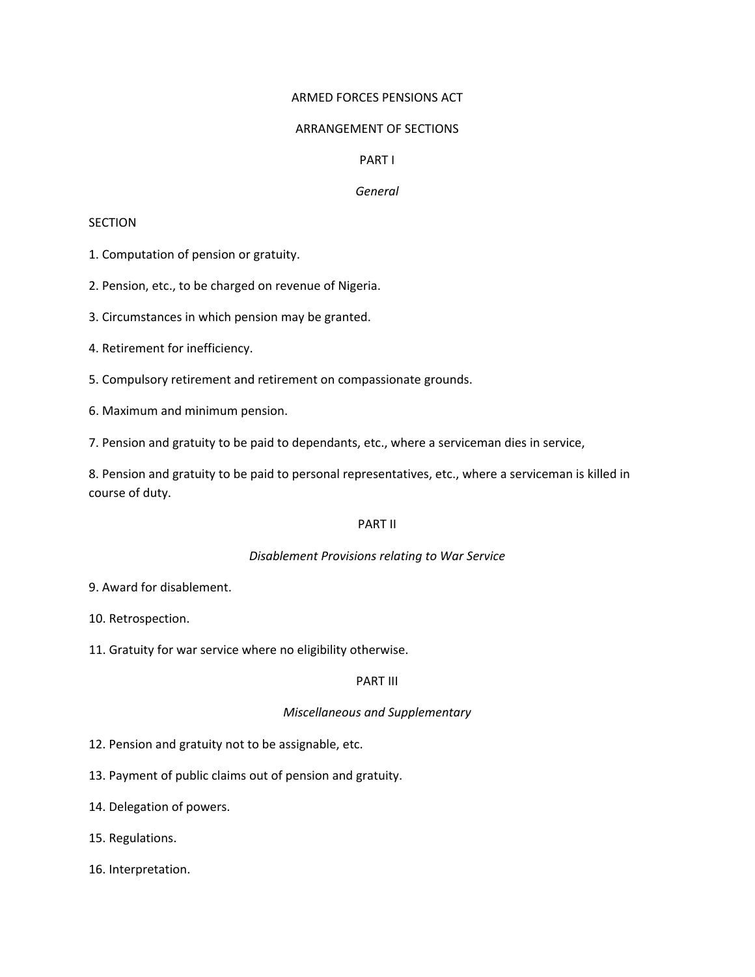#### ARMED FORCES PENSIONS ACT

#### ARRANGEMENT OF SECTIONS

#### PART I

#### *General*

#### SECTION

1. Computation of pension or gratuity.

2. Pension, etc., to be charged on revenue of Nigeria.

3. Circumstances in which pension may be granted.

4. Retirement for inefficiency.

5. Compulsory retirement and retirement on compassionate grounds.

6. Maximum and minimum pension.

7. Pension and gratuity to be paid to dependants, etc., where a serviceman dies in service,

8. Pension and gratuity to be paid to personal representatives, etc., where a serviceman is killed in course of duty.

#### PART II

### *Disablement Provisions relating to War Service*

9. Award for disablement.

10. Retrospection.

11. Gratuity for war service where no eligibility otherwise.

### PART III

### *Miscellaneous and Supplementary*

12. Pension and gratuity not to be assignable, etc.

13. Payment of public claims out of pension and gratuity.

14. Delegation of powers.

15. Regulations.

16. Interpretation.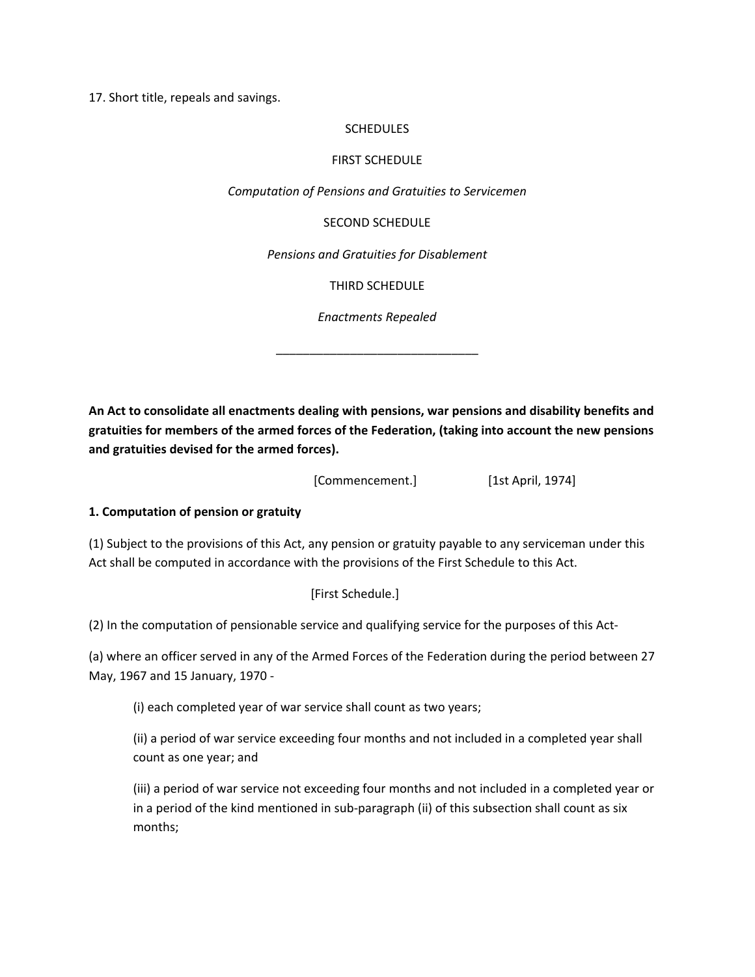17. Short title, repeals and savings.

#### **SCHEDULES**

#### FIRST SCHEDULE

*Computation of Pensions and Gratuities to Servicemen*

SECOND SCHEDULE

*Pensions and Gratuities for Disablement*

THIRD SCHEDULE

*Enactments Repealed*

\_\_\_\_\_\_\_\_\_\_\_\_\_\_\_\_\_\_\_\_\_\_\_\_\_\_\_\_\_\_

**An Act to consolidate all enactments dealing with pensions, war pensions and disability benefits and gratuities for members of the armed forces of the Federation, (taking into account the new pensions and gratuities devised for the armed forces).** 

[Commencement.] [1st April, 1974]

### **1. Computation of pension or gratuity**

(1) Subject to the provisions of this Act, any pension or gratuity payable to any serviceman under this Act shall be computed in accordance with the provisions of the First Schedule to this Act.

### [First Schedule.]

(2) In the computation of pensionable service and qualifying service for the purposes of this Act‐

(a) where an officer served in any of the Armed Forces of the Federation during the period between 27 May, 1967 and 15 January, 1970 ‐

(i) each completed year of war service shall count as two years;

(ii) a period of war service exceeding four months and not included in a completed year shall count as one year; and

(iii) a period of war service not exceeding four months and not included in a completed year or in a period of the kind mentioned in sub-paragraph (ii) of this subsection shall count as six months;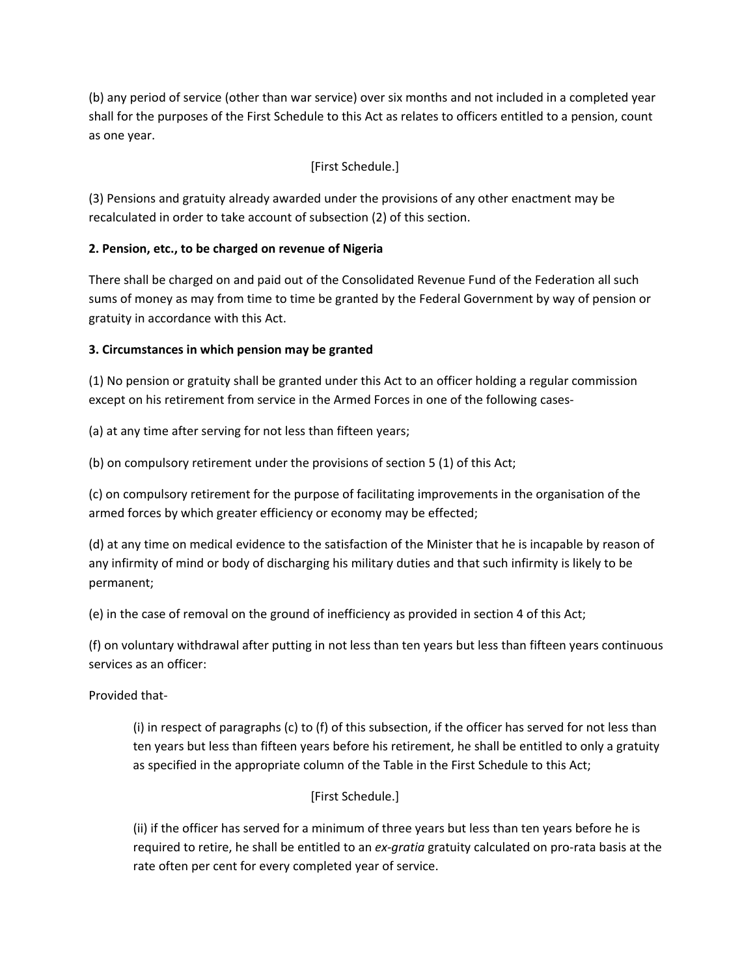(b) any period of service (other than war service) over six months and not included in a completed year shall for the purposes of the First Schedule to this Act as relates to officers entitled to a pension, count as one year.

# [First Schedule.]

(3) Pensions and gratuity already awarded under the provisions of any other enactment may be recalculated in order to take account of subsection (2) of this section.

## **2. Pension, etc., to be charged on revenue of Nigeria**

There shall be charged on and paid out of the Consolidated Revenue Fund of the Federation all such sums of money as may from time to time be granted by the Federal Government by way of pension or gratuity in accordance with this Act.

## **3. Circumstances in which pension may be granted**

(1) No pension or gratuity shall be granted under this Act to an officer holding a regular commission except on his retirement from service in the Armed Forces in one of the following cases-

(a) at any time after serving for not less than fifteen years;

(b) on compulsory retirement under the provisions of section 5 (1) of this Act;

(c) on compulsory retirement for the purpose of facilitating improvements in the organisation of the armed forces by which greater efficiency or economy may be effected;

(d) at any time on medical evidence to the satisfaction of the Minister that he is incapable by reason of any infirmity of mind or body of discharging his military duties and that such infirmity is likely to be permanent;

(e) in the case of removal on the ground of inefficiency as provided in section 4 of this Act;

(f) on voluntary withdrawal after putting in not less than ten years but less than fifteen years continuous services as an officer:

Provided that‐

(i) in respect of paragraphs (c) to (f) of this subsection, if the officer has served for not less than ten years but less than fifteen years before his retirement, he shall be entitled to only a gratuity as specified in the appropriate column of the Table in the First Schedule to this Act;

## [First Schedule.]

(ii) if the officer has served for a minimum of three years but less than ten years before he is required to retire, he shall be entitled to an *ex‐gratia* gratuity calculated on pro‐rata basis at the rate often per cent for every completed year of service.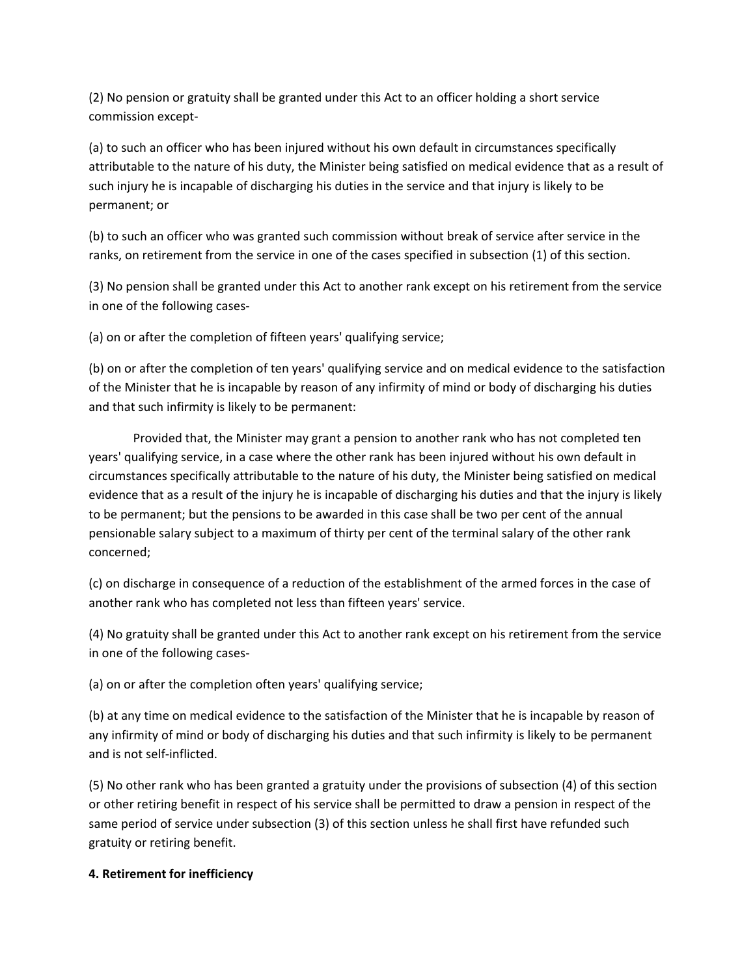(2) No pension or gratuity shall be granted under this Act to an officer holding a short service commission except‐

(a) to such an officer who has been injured without his own default in circumstances specifically attributable to the nature of his duty, the Minister being satisfied on medical evidence that as a result of such injury he is incapable of discharging his duties in the service and that injury is likely to be permanent; or

(b) to such an officer who was granted such commission without break of service after service in the ranks, on retirement from the service in one of the cases specified in subsection (1) of this section.

(3) No pension shall be granted under this Act to another rank except on his retirement from the service in one of the following cases‐

(a) on or after the completion of fifteen years' qualifying service;

(b) on or after the completion of ten years' qualifying service and on medical evidence to the satisfaction of the Minister that he is incapable by reason of any infirmity of mind or body of discharging his duties and that such infirmity is likely to be permanent:

Provided that, the Minister may grant a pension to another rank who has not completed ten years' qualifying service, in a case where the other rank has been injured without his own default in circumstances specifically attributable to the nature of his duty, the Minister being satisfied on medical evidence that as a result of the injury he is incapable of discharging his duties and that the injury is likely to be permanent; but the pensions to be awarded in this case shall be two per cent of the annual pensionable salary subject to a maximum of thirty per cent of the terminal salary of the other rank concerned;

(c) on discharge in consequence of a reduction of the establishment of the armed forces in the case of another rank who has completed not less than fifteen years' service.

(4) No gratuity shall be granted under this Act to another rank except on his retirement from the service in one of the following cases‐

(a) on or after the completion often years' qualifying service;

(b) at any time on medical evidence to the satisfaction of the Minister that he is incapable by reason of any infirmity of mind or body of discharging his duties and that such infirmity is likely to be permanent and is not self‐inflicted.

(5) No other rank who has been granted a gratuity under the provisions of subsection (4) of this section or other retiring benefit in respect of his service shall be permitted to draw a pension in respect of the same period of service under subsection (3) of this section unless he shall first have refunded such gratuity or retiring benefit.

### **4. Retirement for inefficiency**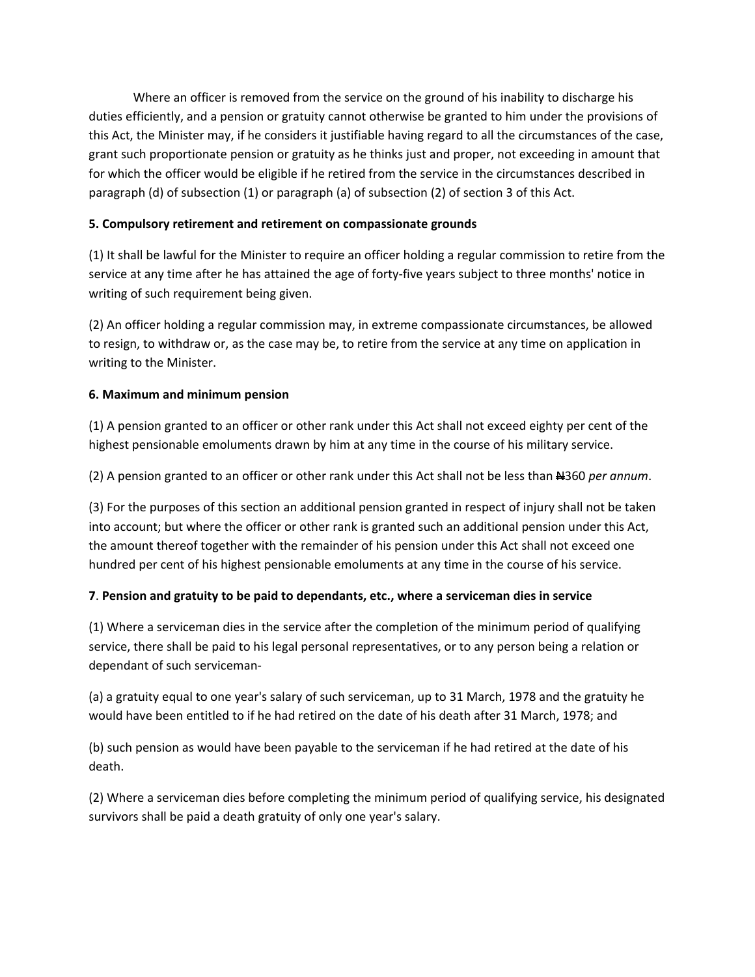Where an officer is removed from the service on the ground of his inability to discharge his duties efficiently, and a pension or gratuity cannot otherwise be granted to him under the provisions of this Act, the Minister may, if he considers it justifiable having regard to all the circumstances of the case, grant such proportionate pension or gratuity as he thinks just and proper, not exceeding in amount that for which the officer would be eligible if he retired from the service in the circumstances described in paragraph (d) of subsection (1) or paragraph (a) of subsection (2) of section 3 of this Act.

### **5. Compulsory retirement and retirement on compassionate grounds**

(1) It shall be lawful for the Minister to require an officer holding a regular commission to retire from the service at any time after he has attained the age of forty-five years subject to three months' notice in writing of such requirement being given.

(2) An officer holding a regular commission may, in extreme compassionate circumstances, be allowed to resign, to withdraw or, as the case may be, to retire from the service at any time on application in writing to the Minister.

### **6. Maximum and minimum pension**

(1) A pension granted to an officer or other rank under this Act shall not exceed eighty per cent of the highest pensionable emoluments drawn by him at any time in the course of his military service.

(2) A pension granted to an officer or other rank under this Act shall not be less than N360 *per annum*.

(3) For the purposes of this section an additional pension granted in respect of injury shall not be taken into account; but where the officer or other rank is granted such an additional pension under this Act, the amount thereof together with the remainder of his pension under this Act shall not exceed one hundred per cent of his highest pensionable emoluments at any time in the course of his service.

### **7**. **Pension and gratuity to be paid to dependants, etc., where a serviceman dies in service**

(1) Where a serviceman dies in the service after the completion of the minimum period of qualifying service, there shall be paid to his legal personal representatives, or to any person being a relation or dependant of such serviceman‐

(a) a gratuity equal to one year's salary of such serviceman, up to 31 March, 1978 and the gratuity he would have been entitled to if he had retired on the date of his death after 31 March, 1978; and

(b) such pension as would have been payable to the serviceman if he had retired at the date of his death.

(2) Where a serviceman dies before completing the minimum period of qualifying service, his designated survivors shall be paid a death gratuity of only one year's salary.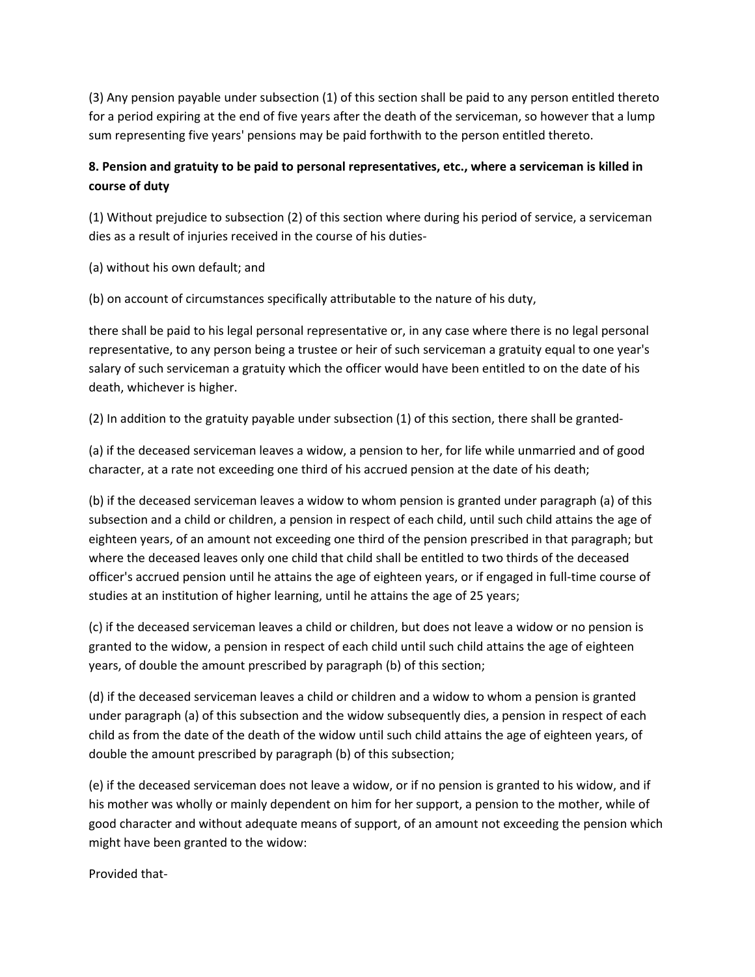(3) Any pension payable under subsection (1) of this section shall be paid to any person entitled thereto for a period expiring at the end of five years after the death of the serviceman, so however that a lump sum representing five years' pensions may be paid forthwith to the person entitled thereto.

# **8. Pension and gratuity to be paid to personal representatives, etc., where a serviceman is killed in course of duty**

(1) Without prejudice to subsection (2) of this section where during his period of service, a serviceman dies as a result of injuries received in the course of his duties‐

(a) without his own default; and

(b) on account of circumstances specifically attributable to the nature of his duty,

there shall be paid to his legal personal representative or, in any case where there is no legal personal representative, to any person being a trustee or heir of such serviceman a gratuity equal to one year's salary of such serviceman a gratuity which the officer would have been entitled to on the date of his death, whichever is higher.

(2) In addition to the gratuity payable under subsection (1) of this section, there shall be granted‐

(a) if the deceased serviceman leaves a widow, a pension to her, for life while unmarried and of good character, at a rate not exceeding one third of his accrued pension at the date of his death;

(b) if the deceased serviceman leaves a widow to whom pension is granted under paragraph (a) of this subsection and a child or children, a pension in respect of each child, until such child attains the age of eighteen years, of an amount not exceeding one third of the pension prescribed in that paragraph; but where the deceased leaves only one child that child shall be entitled to two thirds of the deceased officer's accrued pension until he attains the age of eighteen years, or if engaged in full‐time course of studies at an institution of higher learning, until he attains the age of 25 years;

(c) if the deceased serviceman leaves a child or children, but does not leave a widow or no pension is granted to the widow, a pension in respect of each child until such child attains the age of eighteen years, of double the amount prescribed by paragraph (b) of this section;

(d) if the deceased serviceman leaves a child or children and a widow to whom a pension is granted under paragraph (a) of this subsection and the widow subsequently dies, a pension in respect of each child as from the date of the death of the widow until such child attains the age of eighteen years, of double the amount prescribed by paragraph (b) of this subsection;

(e) if the deceased serviceman does not leave a widow, or if no pension is granted to his widow, and if his mother was wholly or mainly dependent on him for her support, a pension to the mother, while of good character and without adequate means of support, of an amount not exceeding the pension which might have been granted to the widow:

Provided that‐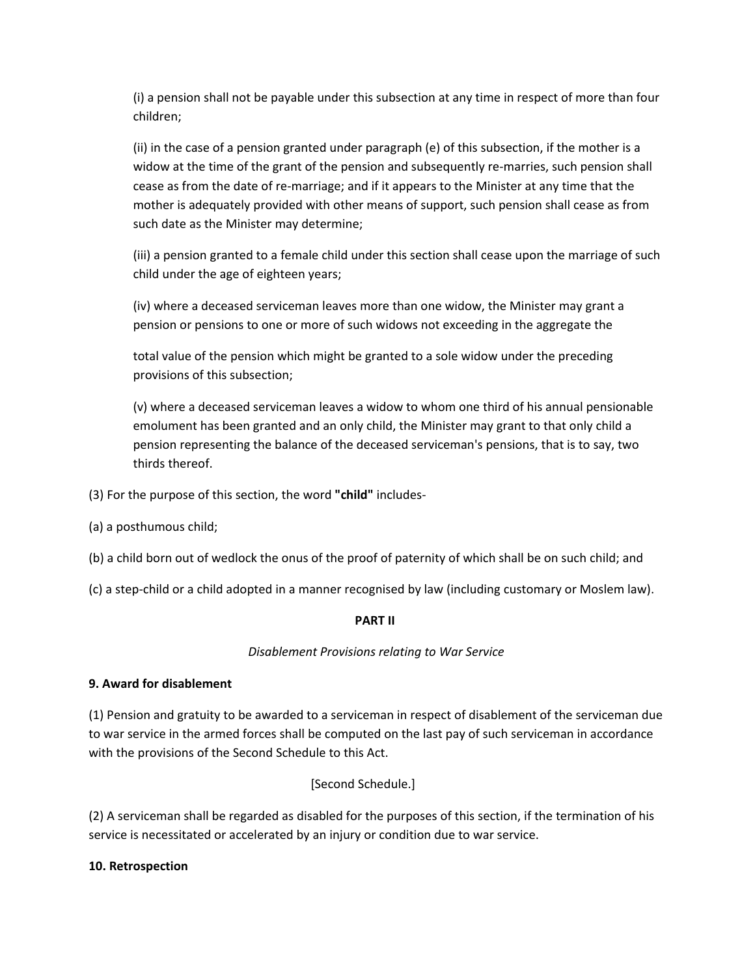(i) a pension shall not be payable under this subsection at any time in respect of more than four children;

(ii) in the case of a pension granted under paragraph (e) of this subsection, if the mother is a widow at the time of the grant of the pension and subsequently re-marries, such pension shall cease as from the date of re‐marriage; and if it appears to the Minister at any time that the mother is adequately provided with other means of support, such pension shall cease as from such date as the Minister may determine;

(iii) a pension granted to a female child under this section shall cease upon the marriage of such child under the age of eighteen years;

(iv) where a deceased serviceman leaves more than one widow, the Minister may grant a pension or pensions to one or more of such widows not exceeding in the aggregate the

total value of the pension which might be granted to a sole widow under the preceding provisions of this subsection;

(v) where a deceased serviceman leaves a widow to whom one third of his annual pensionable emolument has been granted and an only child, the Minister may grant to that only child a pension representing the balance of the deceased serviceman's pensions, that is to say, two thirds thereof.

(3) For the purpose of this section, the word **"child"** includes‐

- (a) a posthumous child;
- (b) a child born out of wedlock the onus of the proof of paternity of which shall be on such child; and
- (c) a step‐child or a child adopted in a manner recognised by law (including customary or Moslem law).

### **PART II**

### *Disablement Provisions relating to War Service*

### **9. Award for disablement**

(1) Pension and gratuity to be awarded to a serviceman in respect of disablement of the serviceman due to war service in the armed forces shall be computed on the last pay of such serviceman in accordance with the provisions of the Second Schedule to this Act.

[Second Schedule.]

(2) A serviceman shall be regarded as disabled for the purposes of this section, if the termination of his service is necessitated or accelerated by an injury or condition due to war service.

### **10. Retrospection**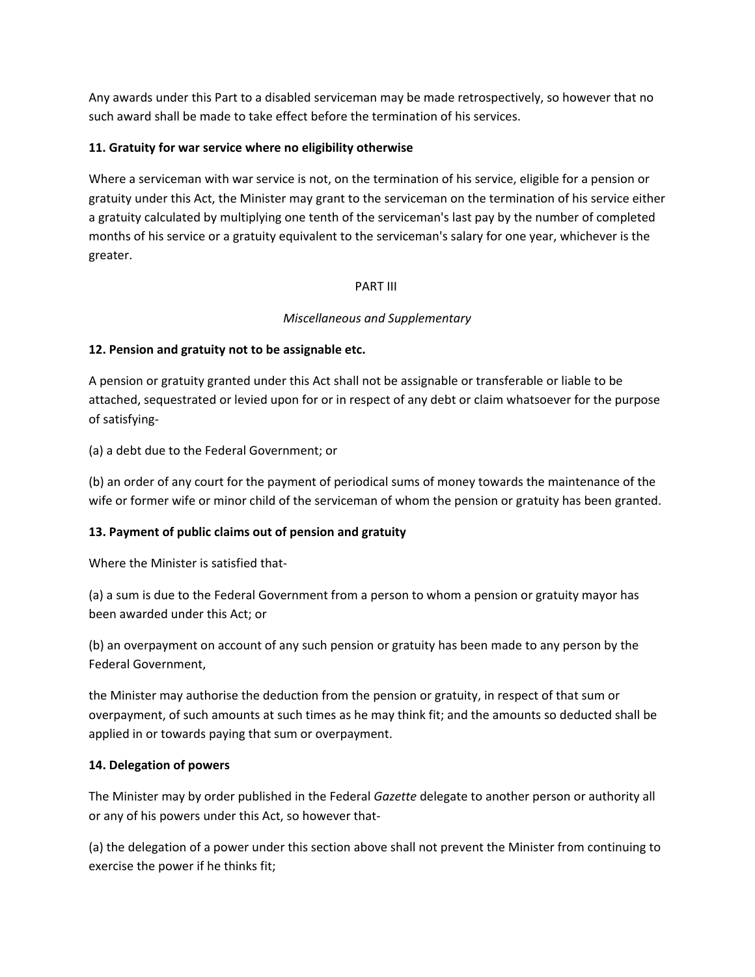Any awards under this Part to a disabled serviceman may be made retrospectively, so however that no such award shall be made to take effect before the termination of his services.

### **11. Gratuity for war service where no eligibility otherwise**

Where a serviceman with war service is not, on the termination of his service, eligible for a pension or gratuity under this Act, the Minister may grant to the serviceman on the termination of his service either a gratuity calculated by multiplying one tenth of the serviceman's last pay by the number of completed months of his service or a gratuity equivalent to the serviceman's salary for one year, whichever is the greater.

### PART III

## *Miscellaneous and Supplementary*

### **12. Pension and gratuity not to be assignable etc.**

A pension or gratuity granted under this Act shall not be assignable or transferable or liable to be attached, sequestrated or levied upon for or in respect of any debt or claim whatsoever for the purpose of satisfying‐

(a) a debt due to the Federal Government; or

(b) an order of any court for the payment of periodical sums of money towards the maintenance of the wife or former wife or minor child of the serviceman of whom the pension or gratuity has been granted.

### **13. Payment of public claims out of pension and gratuity**

Where the Minister is satisfied that-

(a) a sum is due to the Federal Government from a person to whom a pension or gratuity mayor has been awarded under this Act; or

(b) an overpayment on account of any such pension or gratuity has been made to any person by the Federal Government,

the Minister may authorise the deduction from the pension or gratuity, in respect of that sum or overpayment, of such amounts at such times as he may think fit; and the amounts so deducted shall be applied in or towards paying that sum or overpayment.

### **14. Delegation of powers**

The Minister may by order published in the Federal *Gazette* delegate to another person or authority all or any of his powers under this Act, so however that‐

(a) the delegation of a power under this section above shall not prevent the Minister from continuing to exercise the power if he thinks fit;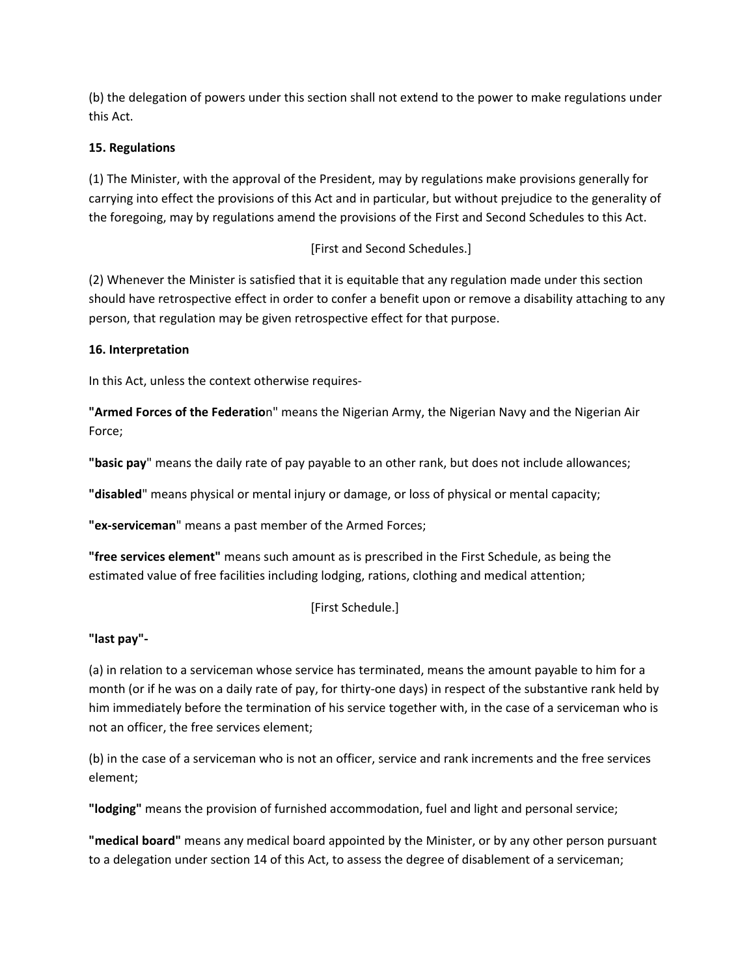(b) the delegation of powers under this section shall not extend to the power to make regulations under this Act.

## **15. Regulations**

(1) The Minister, with the approval of the President, may by regulations make provisions generally for carrying into effect the provisions of this Act and in particular, but without prejudice to the generality of the foregoing, may by regulations amend the provisions of the First and Second Schedules to this Act.

## [First and Second Schedules.]

(2) Whenever the Minister is satisfied that it is equitable that any regulation made under this section should have retrospective effect in order to confer a benefit upon or remove a disability attaching to any person, that regulation may be given retrospective effect for that purpose.

### **16. Interpretation**

In this Act, unless the context otherwise requires‐

**"Armed Forces of the Federatio**n" means the Nigerian Army, the Nigerian Navy and the Nigerian Air Force;

**"basic pay**" means the daily rate of pay payable to an other rank, but does not include allowances;

**"disabled**" means physical or mental injury or damage, or loss of physical or mental capacity;

**"ex‐serviceman**" means a past member of the Armed Forces;

**"free services element"** means such amount as is prescribed in the First Schedule, as being the estimated value of free facilities including lodging, rations, clothing and medical attention;

## [First Schedule.]

## **"last pay"‐**

(a) in relation to a serviceman whose service has terminated, means the amount payable to him for a month (or if he was on a daily rate of pay, for thirty‐one days) in respect of the substantive rank held by him immediately before the termination of his service together with, in the case of a serviceman who is not an officer, the free services element;

(b) in the case of a serviceman who is not an officer, service and rank increments and the free services element;

**"lodging"** means the provision of furnished accommodation, fuel and light and personal service;

**"medical board"** means any medical board appointed by the Minister, or by any other person pursuant to a delegation under section 14 of this Act, to assess the degree of disablement of a serviceman;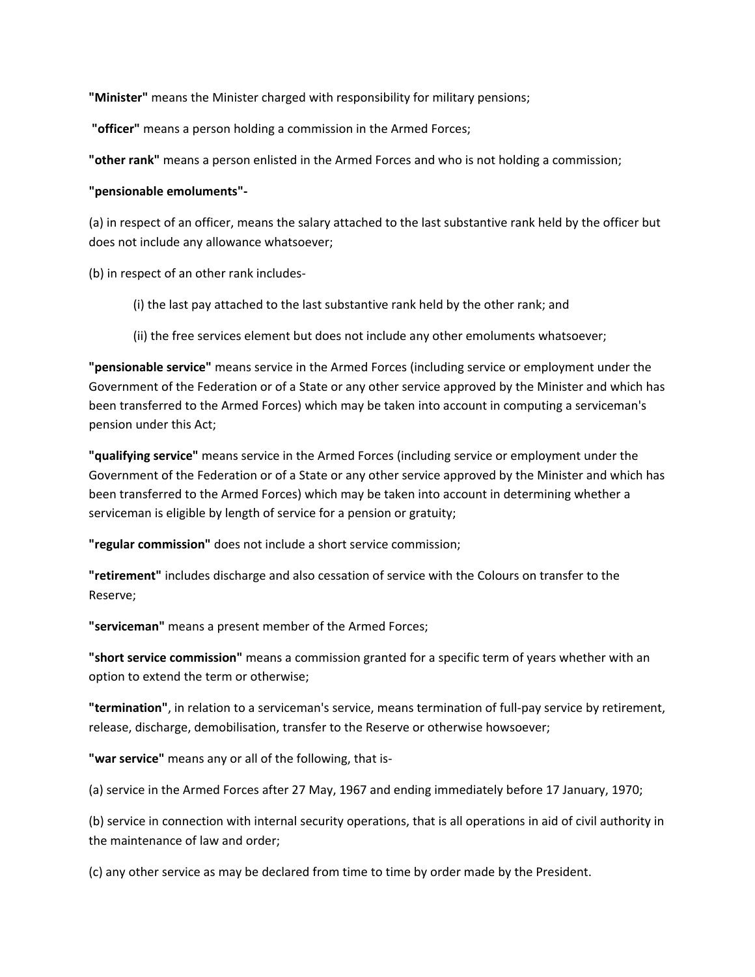**"Minister"** means the Minister charged with responsibility for military pensions;

**"officer"** means a person holding a commission in the Armed Forces;

**"other rank"** means a person enlisted in the Armed Forces and who is not holding a commission;

### **"pensionable emoluments"‐**

(a) in respect of an officer, means the salary attached to the last substantive rank held by the officer but does not include any allowance whatsoever;

(b) in respect of an other rank includes‐

- (i) the last pay attached to the last substantive rank held by the other rank; and
- (ii) the free services element but does not include any other emoluments whatsoever;

**"pensionable service"** means service in the Armed Forces (including service or employment under the Government of the Federation or of a State or any other service approved by the Minister and which has been transferred to the Armed Forces) which may be taken into account in computing a serviceman's pension under this Act;

**"qualifying service"** means service in the Armed Forces (including service or employment under the Government of the Federation or of a State or any other service approved by the Minister and which has been transferred to the Armed Forces) which may be taken into account in determining whether a serviceman is eligible by length of service for a pension or gratuity;

**"regular commission"** does not include a short service commission;

**"retirement"** includes discharge and also cessation of service with the Colours on transfer to the Reserve;

**"serviceman"** means a present member of the Armed Forces;

**"short service commission"** means a commission granted for a specific term of years whether with an option to extend the term or otherwise;

**"termination"**, in relation to a serviceman's service, means termination of full‐pay service by retirement, release, discharge, demobilisation, transfer to the Reserve or otherwise howsoever;

**"war service"** means any or all of the following, that is‐

(a) service in the Armed Forces after 27 May, 1967 and ending immediately before 17 January, 1970;

(b) service in connection with internal security operations, that is all operations in aid of civil authority in the maintenance of law and order;

(c) any other service as may be declared from time to time by order made by the President.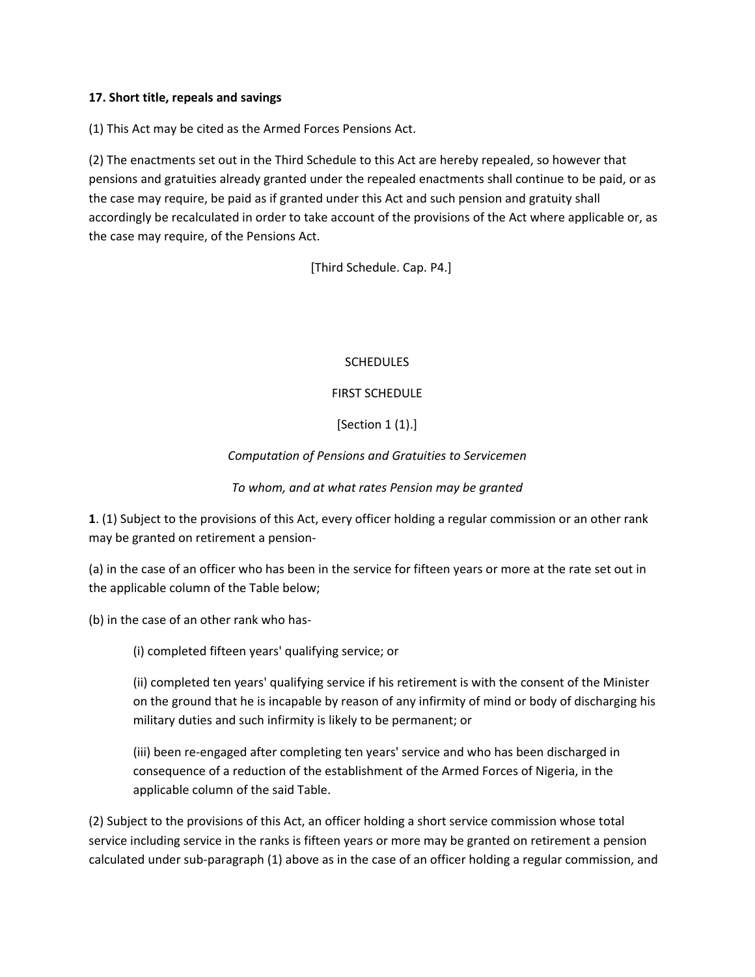### **17. Short title, repeals and savings**

(1) This Act may be cited as the Armed Forces Pensions Act.

(2) The enactments set out in the Third Schedule to this Act are hereby repealed, so however that pensions and gratuities already granted under the repealed enactments shall continue to be paid, or as the case may require, be paid as if granted under this Act and such pension and gratuity shall accordingly be recalculated in order to take account of the provisions of the Act where applicable or, as the case may require, of the Pensions Act.

[Third Schedule. Cap. P4.]

#### **SCHEDULES**

### FIRST SCHEDULE

### [Section 1 (1).]

### *Computation of Pensions and Gratuities to Servicemen*

### *To whom, and at what rates Pension may be granted*

**1**. (1) Subject to the provisions of this Act, every officer holding a regular commission or an other rank may be granted on retirement a pension‐

(a) in the case of an officer who has been in the service for fifteen years or more at the rate set out in the applicable column of the Table below;

(b) in the case of an other rank who has-

(i) completed fifteen years' qualifying service; or

(ii) completed ten years' qualifying service if his retirement is with the consent of the Minister on the ground that he is incapable by reason of any infirmity of mind or body of discharging his military duties and such infirmity is likely to be permanent; or

(iii) been re‐engaged after completing ten years' service and who has been discharged in consequence of a reduction of the establishment of the Armed Forces of Nigeria, in the applicable column of the said Table.

(2) Subject to the provisions of this Act, an officer holding a short service commission whose total service including service in the ranks is fifteen years or more may be granted on retirement a pension calculated under sub‐paragraph (1) above as in the case of an officer holding a regular commission, and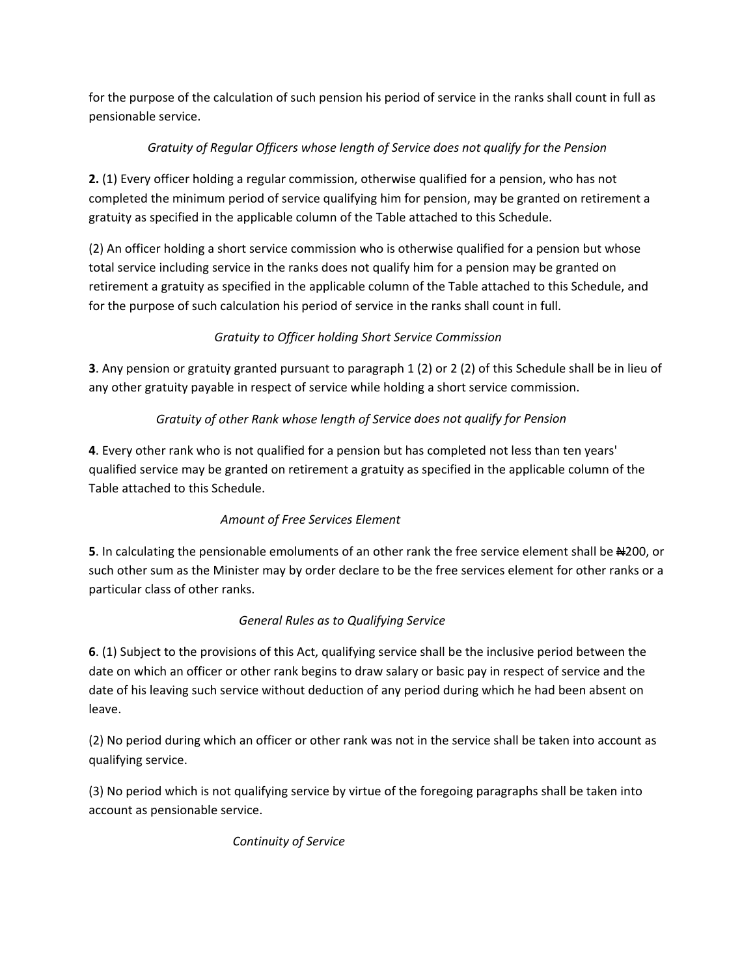for the purpose of the calculation of such pension his period of service in the ranks shall count in full as pensionable service. 

# *Gratuity of Regular Officers whose length of Service does not qualify for the Pension*

**2.** (1) Every officer holding a regular commission, otherwise qualified for a pension, who has not completed the minimum period of service qualifying him for pension, may be granted on retirement a gratuity as specified in the applicable column of the Table attached to this Schedule.

(2) An officer holding a short service commission who is otherwise qualified for a pension but whose total service including service in the ranks does not qualify him for a pension may be granted on retirement a gratuity as specified in the applicable column of the Table attached to this Schedule, and for the purpose of such calculation his period of service in the ranks shall count in full.

## *Gratuity to Officer holding Short Service Commission*

**3**. Any pension or gratuity granted pursuant to paragraph 1 (2) or 2 (2) of this Schedule shall be in lieu of any other gratuity payable in respect of service while holding a short service commission.

# *Gratuity of other Rank whose length of Service does not qualify for Pension*

**4**. Every other rank who is not qualified for a pension but has completed not less than ten years' qualified service may be granted on retirement a gratuity as specified in the applicable column of the Table attached to this Schedule.

## *Amount of Free Services Element*

**5**. In calculating the pensionable emoluments of an other rank the free service element shall be  $\text{A200}$ , or such other sum as the Minister may by order declare to be the free services element for other ranks or a particular class of other ranks.

## *General Rules as to Qualifying Service*

**6**. (1) Subject to the provisions of this Act, qualifying service shall be the inclusive period between the date on which an officer or other rank begins to draw salary or basic pay in respect of service and the date of his leaving such service without deduction of any period during which he had been absent on leave.

(2) No period during which an officer or other rank was not in the service shall be taken into account as qualifying service.

(3) No period which is not qualifying service by virtue of the foregoing paragraphs shall be taken into account as pensionable service.

 *Continuity of Service*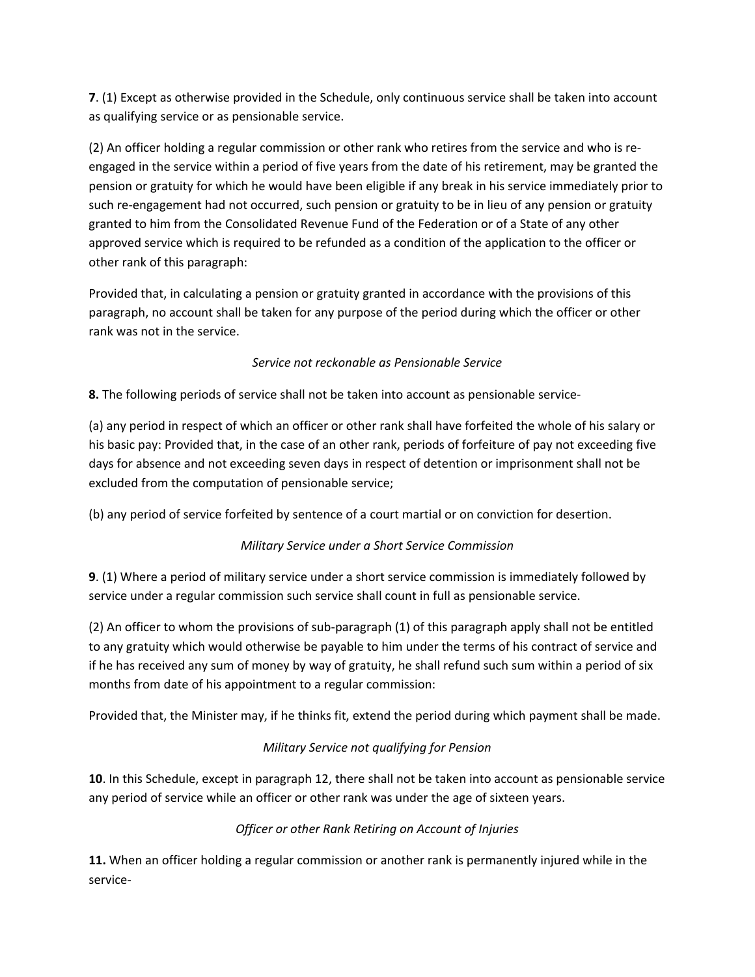**7**. (1) Except as otherwise provided in the Schedule, only continuous service shall be taken into account as qualifying service or as pensionable service.

(2) An officer holding a regular commission or other rank who retires from the service and who is re‐ engaged in the service within a period of five years from the date of his retirement, may be granted the pension or gratuity for which he would have been eligible if any break in his service immediately prior to such re-engagement had not occurred, such pension or gratuity to be in lieu of any pension or gratuity granted to him from the Consolidated Revenue Fund of the Federation or of a State of any other approved service which is required to be refunded as a condition of the application to the officer or other rank of this paragraph:

Provided that, in calculating a pension or gratuity granted in accordance with the provisions of this paragraph, no account shall be taken for any purpose of the period during which the officer or other rank was not in the service.

## *Service not reckonable as Pensionable Service*

**8.** The following periods of service shall not be taken into account as pensionable service‐

(a) any period in respect of which an officer or other rank shall have forfeited the whole of his salary or his basic pay: Provided that, in the case of an other rank, periods of forfeiture of pay not exceeding five days for absence and not exceeding seven days in respect of detention or imprisonment shall not be excluded from the computation of pensionable service;

(b) any period of service forfeited by sentence of a court martial or on conviction for desertion.

## *Military Service under a Short Service Commission*

**9**. (1) Where a period of military service under a short service commission is immediately followed by service under a regular commission such service shall count in full as pensionable service.

(2) An officer to whom the provisions of sub‐paragraph (1) of this paragraph apply shall not be entitled to any gratuity which would otherwise be payable to him under the terms of his contract of service and if he has received any sum of money by way of gratuity, he shall refund such sum within a period of six months from date of his appointment to a regular commission:

Provided that, the Minister may, if he thinks fit, extend the period during which payment shall be made.

# *Military Service not qualifying for Pension*

**10**. In this Schedule, except in paragraph 12, there shall not be taken into account as pensionable service any period of service while an officer or other rank was under the age of sixteen years.

# *Officer or other Rank Retiring on Account of Injuries*

**11.** When an officer holding a regular commission or another rank is permanently injured while in the service‐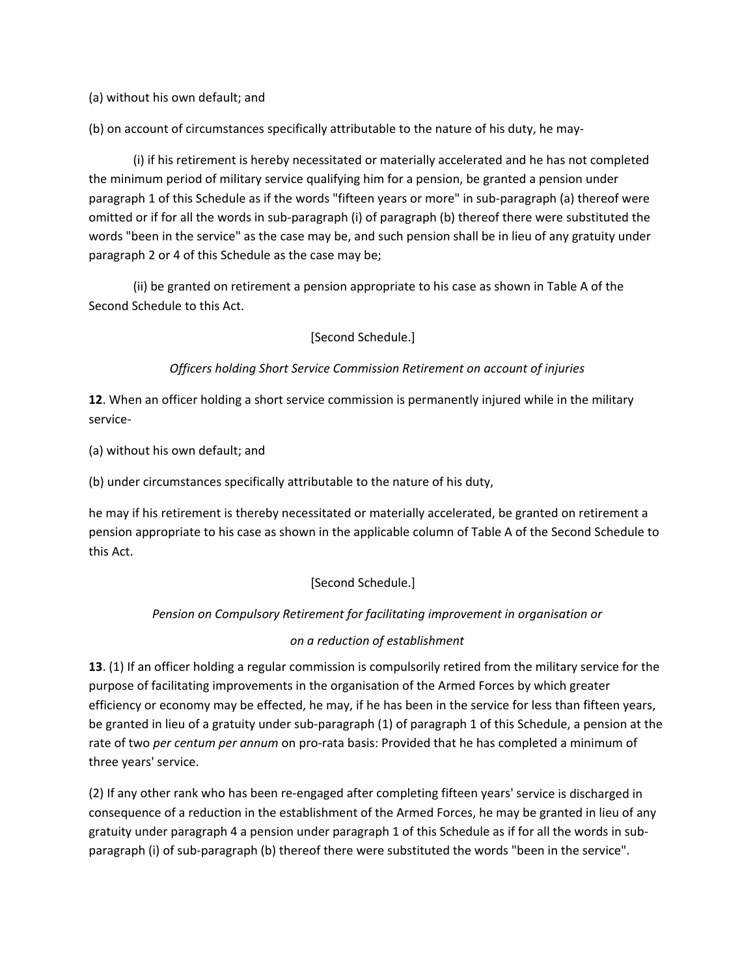(a) without his own default; and

(b) on account of circumstances specifically attributable to the nature of his duty, he may‐

(i) if his retirement is hereby necessitated or materially accelerated and he has not completed the minimum period of military service qualifying him for a pension, be granted a pension under paragraph 1 of this Schedule as if the words "fifteen years or more" in sub‐paragraph (a) thereof were omitted or if for all the words in sub‐paragraph (i) of paragraph (b) thereof there were substituted the words "been in the service" as the case may be, and such pension shall be in lieu of any gratuity under paragraph 2 or 4 of this Schedule as the case may be;

(ii) be granted on retirement a pension appropriate to his case as shown in Table A of the Second Schedule to this Act.

[Second Schedule.]

## *Officers holding Short Service Commission Retirement on account of injuries*

**12**. When an officer holding a short service commission is permanently injured while in the military service‐

(a) without his own default; and

(b) under circumstances specifically attributable to the nature of his duty,

he may if his retirement is thereby necessitated or materially accelerated, be granted on retirement a pension appropriate to his case as shown in the applicable column of Table A of the Second Schedule to this Act.

[Second Schedule.]

## *Pension on Compulsory Retirement for facilitating improvement in organisation or*

## *on a reduction of establishment*

**13**. (1) If an officer holding a regular commission is compulsorily retired from the military service for the purpose of facilitating improvements in the organisation of the Armed Forces by which greater efficiency or economy may be effected, he may, if he has been in the service for less than fifteen years, be granted in lieu of a gratuity under sub‐paragraph (1) of paragraph 1 of this Schedule, a pension at the rate of two *per centum per annum* on pro‐rata basis: Provided that he has completed a minimum of three years' service.

(2) If any other rank who has been re‐engaged after completing fifteen years' service is discharged in consequence of a reduction in the establishment of the Armed Forces, he may be granted in lieu of any gratuity under paragraph 4 a pension under paragraph 1 of this Schedule as if for all the words in sub‐ paragraph (i) of sub-paragraph (b) thereof there were substituted the words "been in the service".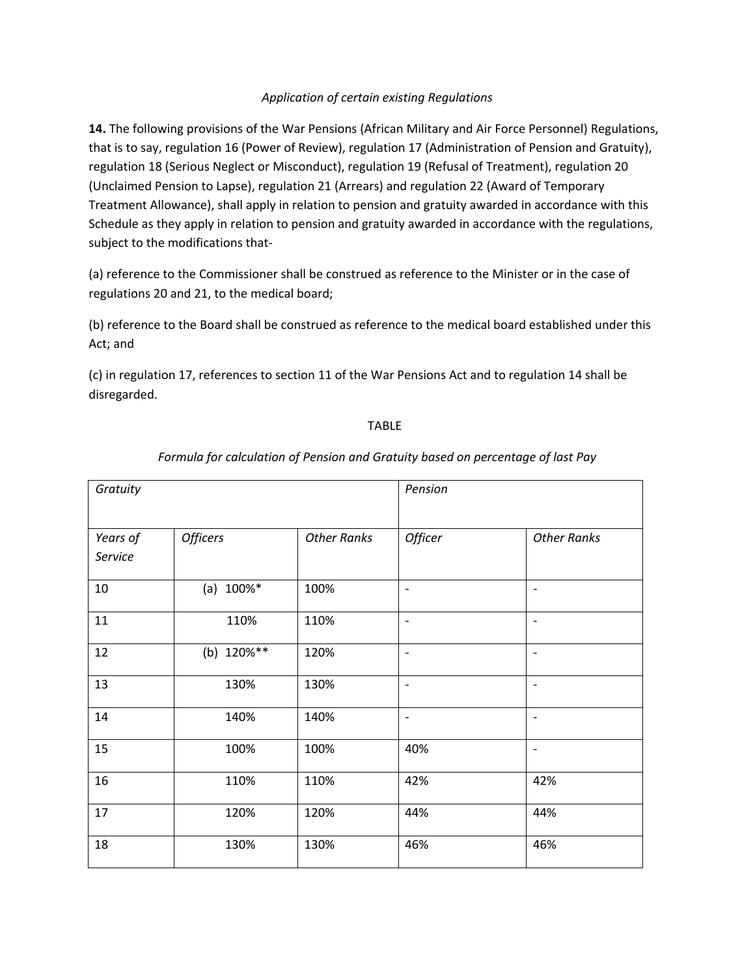### *Application of certain existing Regulations*

**14.** The following provisions of the War Pensions (African Military and Air Force Personnel) Regulations, that is to say, regulation 16 (Power of Review), regulation 17 (Administration of Pension and Gratuity), regulation 18 (Serious Neglect or Misconduct), regulation 19 (Refusal of Treatment), regulation 20 (Unclaimed Pension to Lapse), regulation 21 (Arrears) and regulation 22 (Award of Temporary Treatment Allowance), shall apply in relation to pension and gratuity awarded in accordance with this Schedule as they apply in relation to pension and gratuity awarded in accordance with the regulations, subject to the modifications that‐

(a) reference to the Commissioner shall be construed as reference to the Minister or in the case of regulations 20 and 21, to the medical board;

(b) reference to the Board shall be construed as reference to the medical board established under this Act; and

(c) in regulation 17, references to section 11 of the War Pensions Act and to regulation 14 shall be disregarded.

### **TABLE**

| Gratuity            |                 | Pension            |                          |                          |
|---------------------|-----------------|--------------------|--------------------------|--------------------------|
| Years of<br>Service | <b>Officers</b> | <b>Other Ranks</b> | Officer                  | <b>Other Ranks</b>       |
| 10                  | (a) $100\%*$    | 100%               | $\qquad \qquad -$        | $\overline{\phantom{a}}$ |
| 11                  | 110%            | 110%               | $\overline{\phantom{a}}$ | $\overline{\phantom{a}}$ |
| 12                  | (b) 120%**      | 120%               | $\overline{\phantom{a}}$ | $\overline{\phantom{a}}$ |
| 13                  | 130%            | 130%               | $\overline{\phantom{a}}$ | $\overline{\phantom{a}}$ |
| 14                  | 140%            | 140%               | $\overline{\phantom{a}}$ | $\overline{\phantom{a}}$ |
| 15                  | 100%            | 100%               | 40%                      | $\overline{\phantom{a}}$ |
| 16                  | 110%            | 110%               | 42%                      | 42%                      |
| 17                  | 120%            | 120%               | 44%                      | 44%                      |
| 18                  | 130%            | 130%               | 46%                      | 46%                      |

### *Formula for calculation of Pension and Gratuity based on percentage of last Pay*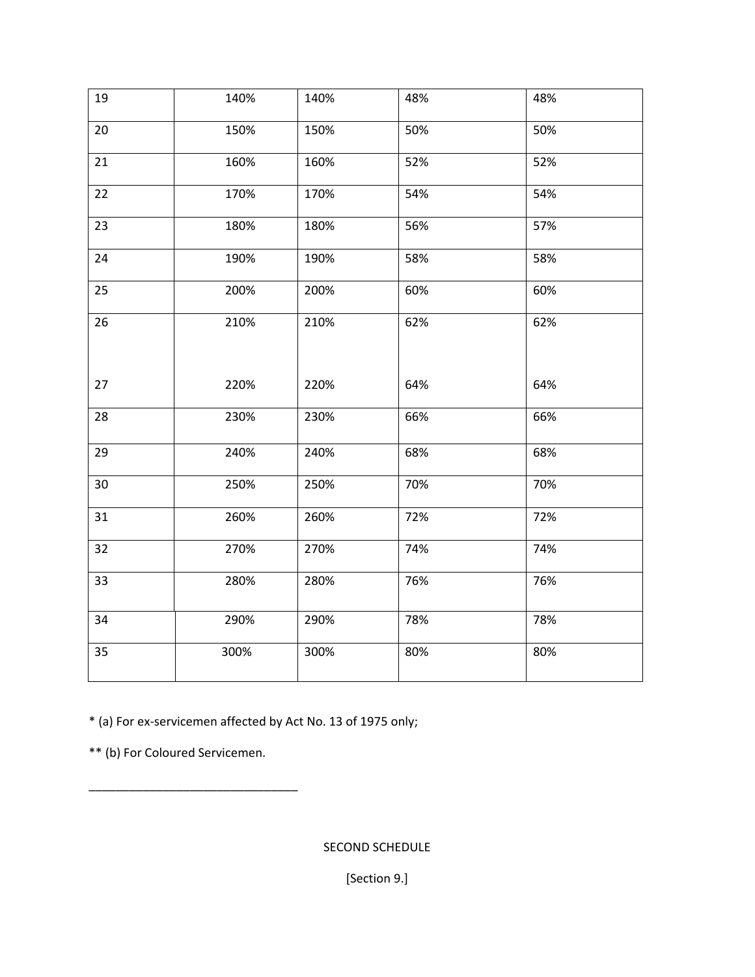| 19 | 140% | 140% | 48% | 48% |
|----|------|------|-----|-----|
| 20 | 150% | 150% | 50% | 50% |
| 21 | 160% | 160% | 52% | 52% |
| 22 | 170% | 170% | 54% | 54% |
| 23 | 180% | 180% | 56% | 57% |
| 24 | 190% | 190% | 58% | 58% |
| 25 | 200% | 200% | 60% | 60% |
| 26 | 210% | 210% | 62% | 62% |
| 27 | 220% | 220% | 64% | 64% |
| 28 | 230% | 230% | 66% | 66% |
| 29 | 240% | 240% | 68% | 68% |
| 30 | 250% | 250% | 70% | 70% |
| 31 | 260% | 260% | 72% | 72% |
| 32 | 270% | 270% | 74% | 74% |
| 33 | 280% | 280% | 76% | 76% |
| 34 | 290% | 290% | 78% | 78% |
| 35 | 300% | 300% | 80% | 80% |

\* (a) For ex‐servicemen affected by Act No. 13 of 1975 only;

\*\* (b) For Coloured Servicemen.

\_\_\_\_\_\_\_\_\_\_\_\_\_\_\_\_\_\_\_\_\_\_\_\_\_\_\_\_\_\_\_

SECOND SCHEDULE

[Section 9.]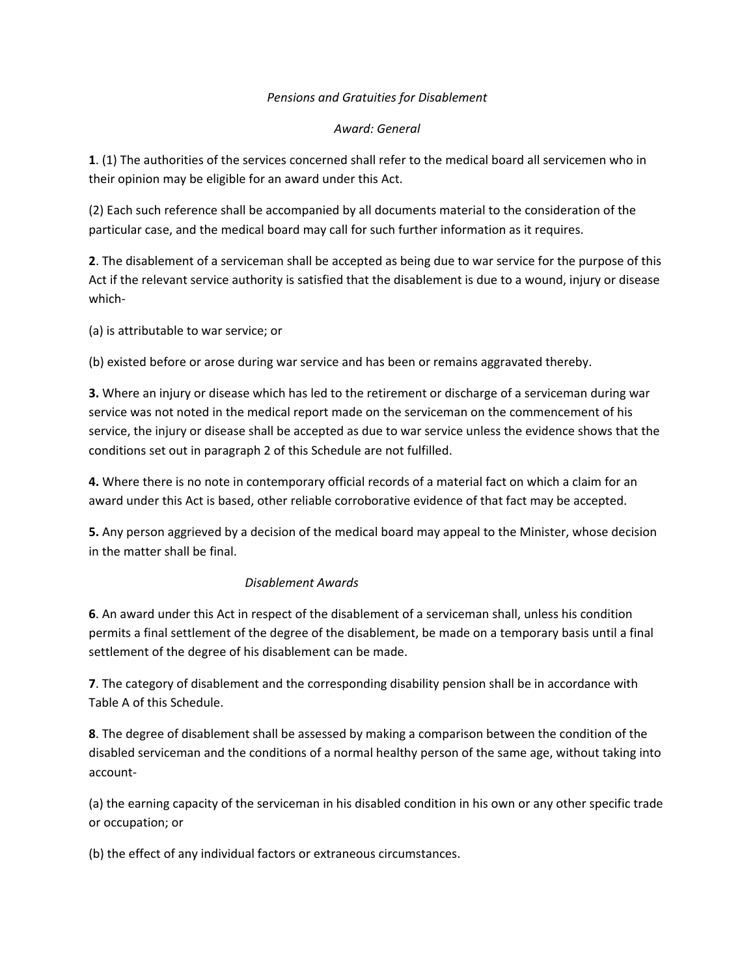### *Pensions and Gratuities for Disablement*

### *Award: General*

**1**. (1) The authorities of the services concerned shall refer to the medical board all servicemen who in their opinion may be eligible for an award under this Act.

(2) Each such reference shall be accompanied by all documents material to the consideration of the particular case, and the medical board may call for such further information as it requires.

**2**. The disablement of a serviceman shall be accepted as being due to war service for the purpose of this Act if the relevant service authority is satisfied that the disablement is due to a wound, injury or disease which‐

(a) is attributable to war service; or

(b) existed before or arose during war service and has been or remains aggravated thereby.

**3.** Where an injury or disease which has led to the retirement or discharge of a serviceman during war service was not noted in the medical report made on the serviceman on the commencement of his service, the injury or disease shall be accepted as due to war service unless the evidence shows that the conditions set out in paragraph 2 of this Schedule are not fulfilled.

**4.** Where there is no note in contemporary official records of a material fact on which a claim for an award under this Act is based, other reliable corroborative evidence of that fact may be accepted.

**5.** Any person aggrieved by a decision of the medical board may appeal to the Minister, whose decision in the matter shall be final.

## *Disablement Awards*

**6**. An award under this Act in respect of the disablement of a serviceman shall, unless his condition permits a final settlement of the degree of the disablement, be made on a temporary basis until a final settlement of the degree of his disablement can be made.

**7**. The category of disablement and the corresponding disability pension shall be in accordance with Table A of this Schedule.

**8**. The degree of disablement shall be assessed by making a comparison between the condition of the disabled serviceman and the conditions of a normal healthy person of the same age, without taking into account‐

(a) the earning capacity of the serviceman in his disabled condition in his own or any other specific trade or occupation; or

(b) the effect of any individual factors or extraneous circumstances.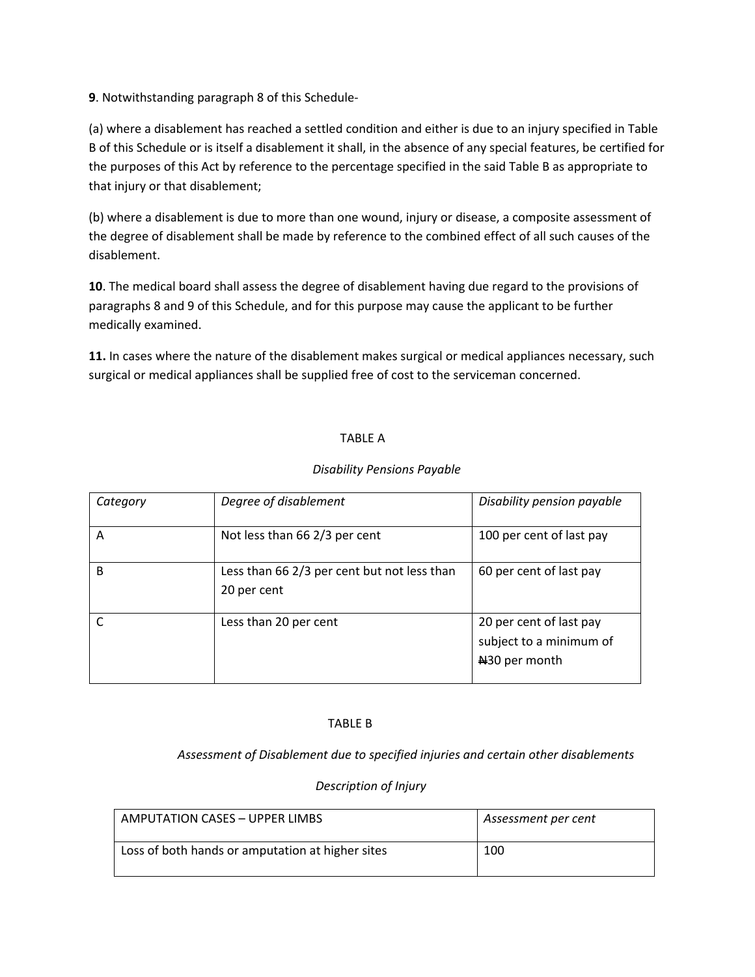**9**. Notwithstanding paragraph 8 of this Schedule‐

(a) where a disablement has reached a settled condition and either is due to an injury specified in Table B of this Schedule or is itself a disablement it shall, in the absence of any special features, be certified for the purposes of this Act by reference to the percentage specified in the said Table B as appropriate to that injury or that disablement;

(b) where a disablement is due to more than one wound, injury or disease, a composite assessment of the degree of disablement shall be made by reference to the combined effect of all such causes of the disablement.

**10**. The medical board shall assess the degree of disablement having due regard to the provisions of paragraphs 8 and 9 of this Schedule, and for this purpose may cause the applicant to be further medically examined.

**11.** In cases where the nature of the disablement makes surgical or medical appliances necessary, such surgical or medical appliances shall be supplied free of cost to the serviceman concerned.

## TABLE A

| Category | Degree of disablement                                      | Disability pension payable                                                      |
|----------|------------------------------------------------------------|---------------------------------------------------------------------------------|
| А        | Not less than 66 2/3 per cent                              | 100 per cent of last pay                                                        |
| B        | Less than 66 2/3 per cent but not less than<br>20 per cent | 60 per cent of last pay                                                         |
|          | Less than 20 per cent                                      | 20 per cent of last pay<br>subject to a minimum of<br>N <sub>30</sub> per month |

### *Disability Pensions Payable*

#### TABLE B

 *Assessment of Disablement due to specified injuries and certain other disablements* 

### *Description of Injury*

| AMPUTATION CASES - UPPER LIMBS                   | Assessment per cent |
|--------------------------------------------------|---------------------|
| Loss of both hands or amputation at higher sites | 100                 |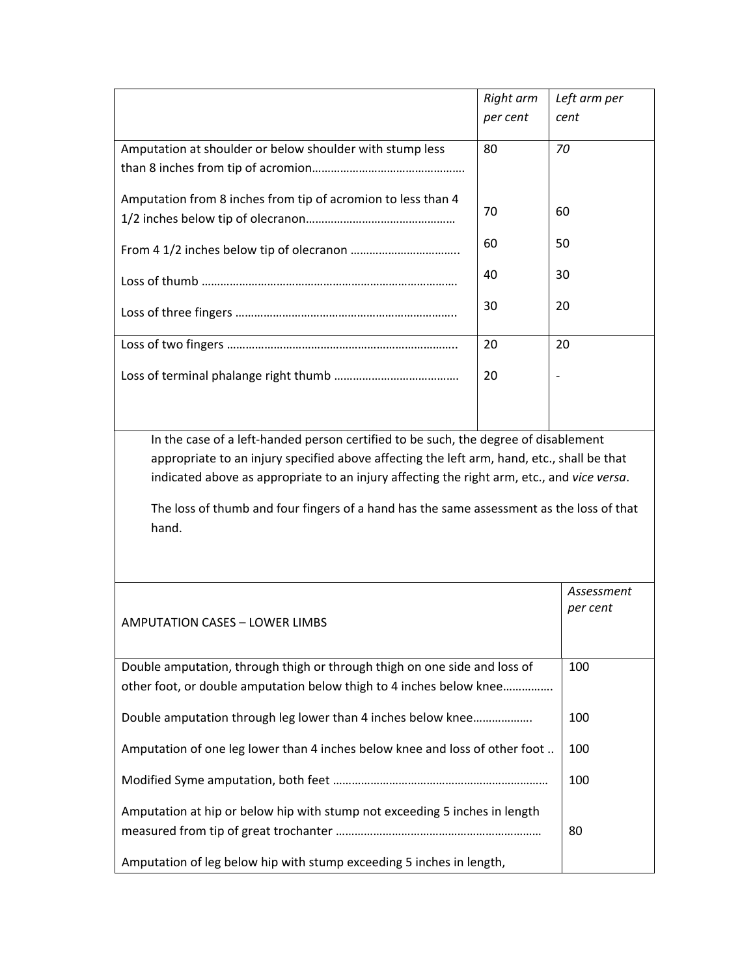|                                                              | Right arm | Left arm per |
|--------------------------------------------------------------|-----------|--------------|
|                                                              | per cent  | cent         |
|                                                              |           |              |
| Amputation at shoulder or below shoulder with stump less     | 80        | 70           |
|                                                              |           |              |
|                                                              |           |              |
| Amputation from 8 inches from tip of acromion to less than 4 | 70        | 60           |
|                                                              |           |              |
|                                                              | 60        | 50           |
|                                                              |           |              |
|                                                              | 40        | 30           |
|                                                              |           |              |
|                                                              | 30        | 20           |
|                                                              |           |              |
|                                                              | 20        | 20           |
|                                                              |           |              |
|                                                              | 20        |              |
|                                                              |           |              |
|                                                              |           |              |

In the case of a left‐handed person certified to be such, the degree of disablement appropriate to an injury specified above affecting the left arm, hand, etc., shall be that indicated above as appropriate to an injury affecting the right arm, etc., and *vice versa*.

The loss of thumb and four fingers of a hand has the same assessment as the loss of that hand.

| <b>AMPUTATION CASES - LOWER LIMBS</b>                                       | Assessment<br>per cent |
|-----------------------------------------------------------------------------|------------------------|
| Double amputation, through thigh or through thigh on one side and loss of   | 100                    |
| other foot, or double amputation below thigh to 4 inches below knee         |                        |
| Double amputation through leg lower than 4 inches below knee                | 100                    |
| Amputation of one leg lower than 4 inches below knee and loss of other foot | 100                    |
|                                                                             | 100                    |
| Amputation at hip or below hip with stump not exceeding 5 inches in length  | 80                     |
| Amputation of leg below hip with stump exceeding 5 inches in length,        |                        |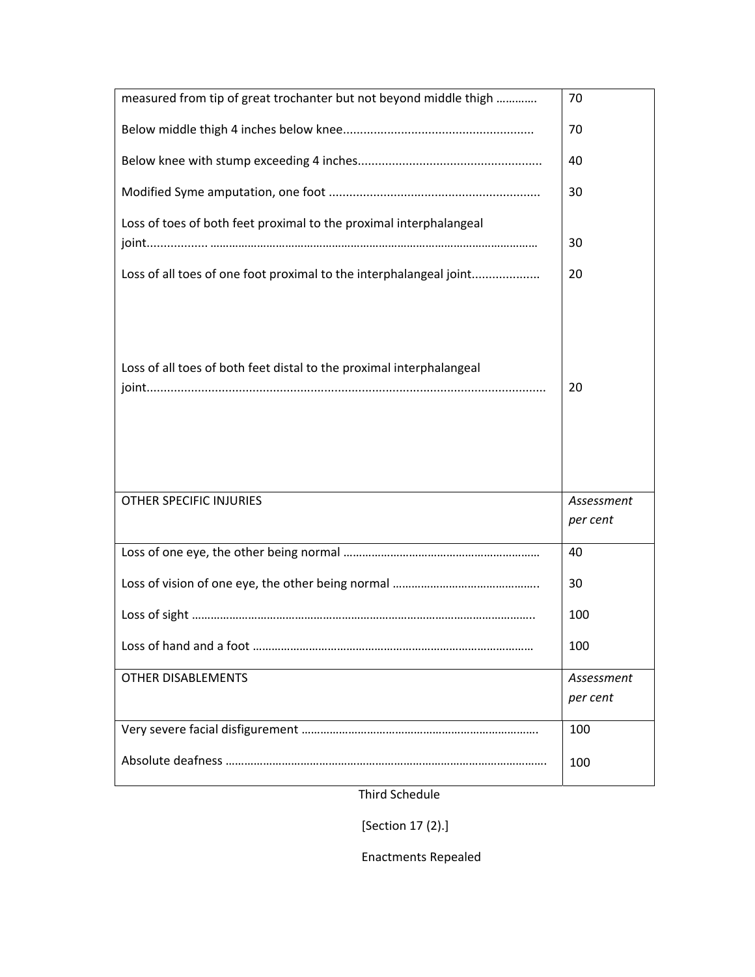| measured from tip of great trochanter but not beyond middle thigh    | 70         |
|----------------------------------------------------------------------|------------|
|                                                                      | 70         |
|                                                                      | 40         |
|                                                                      | 30         |
| Loss of toes of both feet proximal to the proximal interphalangeal   |            |
|                                                                      | 30         |
| Loss of all toes of one foot proximal to the interphalangeal joint   | 20         |
| Loss of all toes of both feet distal to the proximal interphalangeal | 20         |
| <b>OTHER SPECIFIC INJURIES</b>                                       | Assessment |
|                                                                      | per cent   |
|                                                                      | 40         |
|                                                                      | 30         |
|                                                                      | 100        |
|                                                                      | 100        |
| <b>OTHER DISABLEMENTS</b>                                            | Assessment |
|                                                                      | per cent   |
|                                                                      | 100        |
|                                                                      | 100        |

Third Schedule

[Section 17 (2).]

Enactments Repealed